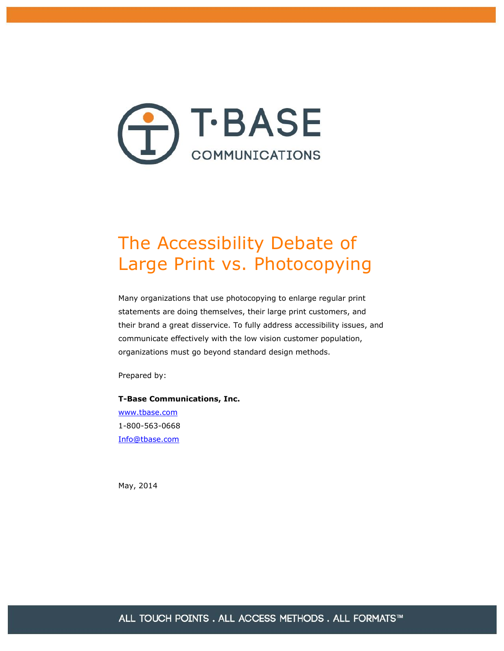

# The Accessibility Debate of Large Print vs. Photocopying

Many organizations that use photocopying to enlarge regular print statements are doing themselves, their large print customers, and their brand a great disservice. To fully address accessibility issues, and communicate effectively with the low vision customer population, organizations must go beyond standard design methods.

Prepared by:

**T-Base Communications, Inc.** [www.tbase.com](http://www.tbase.com/) 1-800-563-0668 [Info@tbase.com](mailto:Info@tbase.com)

May, 2014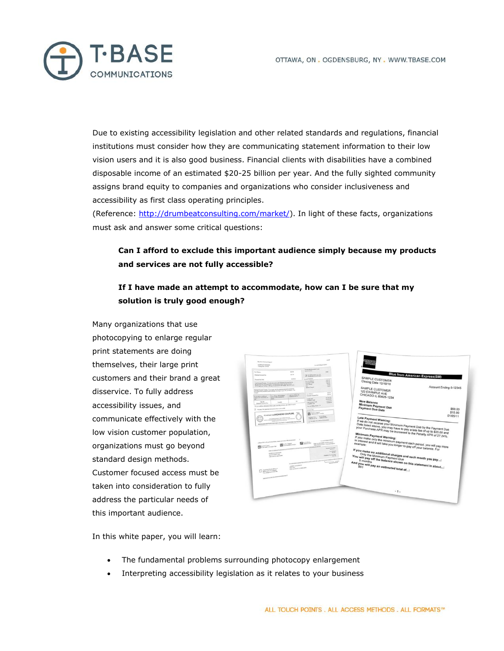

Due to existing accessibility legislation and other related standards and regulations, financial institutions must consider how they are communicating statement information to their low vision users and it is also good business. Financial clients with disabilities have a combined disposable income of an estimated \$20-25 billion per year. And the fully sighted community assigns brand equity to companies and organizations who consider inclusiveness and accessibility as first class operating principles.

(Reference: [http://drumbeatconsulting.com/market/\). In](http://drumbeatconsulting.com/market/) light of these facts, organizations must ask and answer some critical questions:

#### **Can I afford to exclude this important audience simply because my products and services are not fully accessible?**

#### **If I have made an attempt to accommodate, how can I be sure that my solution is truly good enough?**

Many organizations that use photocopying to enlarge regular print statements are doing themselves, their large print customers and their brand a great disservice. To fully address accessibility issues, and communicate effectively with the low vision customer population, organizations must go beyond standard design methods. Customer focused access must be taken into consideration to fully address the particular needs of this important audience.

| <b>The first listene hand?</b><br><b>AMERIA CORPORA</b><br>Chrag Tax (7 to to |                                                                                                                                                                                                                                                                                                                     |                                                              | Auswellahm P (214)                                                                                                                                                                                                                                                                                                                                                                |                                                                                                                                                                                   |                                                                                                                                                                                                                                                                                                                                                                                                                                                                                                                                         |
|-------------------------------------------------------------------------------|---------------------------------------------------------------------------------------------------------------------------------------------------------------------------------------------------------------------------------------------------------------------------------------------------------------------|--------------------------------------------------------------|-----------------------------------------------------------------------------------------------------------------------------------------------------------------------------------------------------------------------------------------------------------------------------------------------------------------------------------------------------------------------------------|-----------------------------------------------------------------------------------------------------------------------------------------------------------------------------------|-----------------------------------------------------------------------------------------------------------------------------------------------------------------------------------------------------------------------------------------------------------------------------------------------------------------------------------------------------------------------------------------------------------------------------------------------------------------------------------------------------------------------------------------|
|                                                                               |                                                                                                                                                                                                                                                                                                                     |                                                              | <b>Manhooding Konvertisit Presin</b>                                                                                                                                                                                                                                                                                                                                              |                                                                                                                                                                                   |                                                                                                                                                                                                                                                                                                                                                                                                                                                                                                                                         |
| <b>Ton Baker</b>                                                              |                                                                                                                                                                                                                                                                                                                     | <b>SALE</b>                                                  | And COSTA                                                                                                                                                                                                                                                                                                                                                                         | 1.MP                                                                                                                                                                              |                                                                                                                                                                                                                                                                                                                                                                                                                                                                                                                                         |
| Vienna Fortun Fax                                                             |                                                                                                                                                                                                                                                                                                                     | <b>ACCHE</b>                                                 | Ch. Early and phone corpora-<br>his advance is much just                                                                                                                                                                                                                                                                                                                          |                                                                                                                                                                                   | <b>Blue from American Express(SM)</b>                                                                                                                                                                                                                                                                                                                                                                                                                                                                                                   |
| Permane Day Street                                                            |                                                                                                                                                                                                                                                                                                                     | <b>ALCOHOL:</b>                                              | <b>Council September</b><br><b>Barnett School</b>                                                                                                                                                                                                                                                                                                                                 | <b>ATACHER</b>                                                                                                                                                                    |                                                                                                                                                                                                                                                                                                                                                                                                                                                                                                                                         |
|                                                                               | Lee Parame Keener, With the terminal area Measure Paramet Discher<br>As formed the first lend above you are here it per a les for al spin.<br>Will safe you finding APE and he instruct to the Fourty of the all you.                                                                                               |                                                              | <b>Business Country</b><br>has these<br>Aug.                                                                                                                                                                                                                                                                                                                                      | are it.<br>$-$<br>$-$<br><b>Service</b>                                                                                                                                           |                                                                                                                                                                                                                                                                                                                                                                                                                                                                                                                                         |
| $-$                                                                           | Heatern Fordert Vandag, 17 24 and colle the entrepreneur and partial<br>tion will precise to interest and a will take you happy to pay off your holistics. For                                                                                                                                                      |                                                              | <b>Senathepi</b>                                                                                                                                                                                                                                                                                                                                                                  | senten.                                                                                                                                                                           | Account Ending 0-12345                                                                                                                                                                                                                                                                                                                                                                                                                                                                                                                  |
| Frenchen sitten:<br>the photo d'un bas registre                               | <b>Vanilan of to home</b><br>during the mount in                                                                                                                                                                                                                                                                    | <b>Indian Admirable</b><br>amond and 4.                      | <b>Hara Redeemd</b><br><b><i>Unions Property</i></b>                                                                                                                                                                                                                                                                                                                              | scratch<br><b>MARCH</b>                                                                                                                                                           |                                                                                                                                                                                                                                                                                                                                                                                                                                                                                                                                         |
| <b>Hall By</b>                                                                | mon.<br><b>Laught</b>                                                                                                                                                                                                                                                                                               | $\sim$                                                       | <b>Council Ave</b><br>Analytis Trivel<br>Call Motor Link                                                                                                                                                                                                                                                                                                                          | <b>BIANEWA</b><br><b>SLAMP</b>                                                                                                                                                    |                                                                                                                                                                                                                                                                                                                                                                                                                                                                                                                                         |
| <b>Manuel Ferrett Dec</b>                                                     | If you would like information shoul could connecting animate, and 1-400 7/1-4014.                                                                                                                                                                                                                                   |                                                              | Analytic Card                                                                                                                                                                                                                                                                                                                                                                     | NAME OF                                                                                                                                                                           |                                                                                                                                                                                                                                                                                                                                                                                                                                                                                                                                         |
|                                                                               | (2) hopes the prevalent photograph a couple                                                                                                                                                                                                                                                                         |                                                              | they is billing front in                                                                                                                                                                                                                                                                                                                                                          |                                                                                                                                                                                   | \$60.00                                                                                                                                                                                                                                                                                                                                                                                                                                                                                                                                 |
|                                                                               |                                                                                                                                                                                                                                                                                                                     |                                                              | Customer Class                                                                                                                                                                                                                                                                                                                                                                    |                                                                                                                                                                                   | \$15.00                                                                                                                                                                                                                                                                                                                                                                                                                                                                                                                                 |
|                                                                               | ITINGTANTIOLPEGH-END COUTURE.                                                                                                                                                                                                                                                                                       |                                                              | $\begin{picture}(20,10) \put(0,0){\line(1,0){10}} \put(10,0){\line(1,0){10}} \put(10,0){\line(1,0){10}} \put(10,0){\line(1,0){10}} \put(10,0){\line(1,0){10}} \put(10,0){\line(1,0){10}} \put(10,0){\line(1,0){10}} \put(10,0){\line(1,0){10}} \put(10,0){\line(1,0){10}} \put(10,0){\line(1,0){10}} \put(10,0){\line(1,0){10}} \put(10,0){\line(1$<br>Catalog Corp., Tel: Planet |                                                                                                                                                                                   | 01/05/11                                                                                                                                                                                                                                                                                                                                                                                                                                                                                                                                |
|                                                                               | A Planet fold as the polynomial balon, denote and a man with post-payment $\hskip1.6cm -\hskip1.6cm 3$<br>ANOTHER STATISTICS.<br>ULLIANCES.<br>CONTRACT AND AVE<br>Check here of pole with our or<br>planet passion has changed.<br>to the changes of the state with<br>positions and (4513) and continues the pro- | <b>GANCOTANIE</b><br>NAME AND DESCRIPTIONS OF REAL PROPERTY. | $\mathbf{G}$<br>FOR ALANDATORY AT THE ENGINEER AN ALAND TO A 44 YO F CHANGE AND A STATE OF A STATE OF A STATE OF A STATE OF A<br>AN ADVISORATE ADVANTAGEMENTATION AND ADVANTAGE AND ADVANTAGEMENT AREA OF                                                                                                                                                                         | <b>Superintendent</b><br>hope would wanted on all decayes as<br>hides shock payable to handcom Copyrin<br>Permane Date Line<br>Sun Debaut<br><b>Secret</b><br><b>Summittee St</b> | If we do not receive your Minimum Payment Due by the Payment Due<br>Date listed above, you may have to pay a late fee of up to \$35.00 and<br>your Purchase APR may be increased to the Penalty APR of 27.24%.<br>If you make only the minimum payment each period, you will pay more<br>in interest and it will take you longer to pay off your balance. For<br>If you make no additional charges and each month you pay;<br>You will pay off the balance shown on this statement in about;<br>And you will pay an estimated total of; |
|                                                                               |                                                                                                                                                                                                                                                                                                                     |                                                              |                                                                                                                                                                                                                                                                                                                                                                                   |                                                                                                                                                                                   |                                                                                                                                                                                                                                                                                                                                                                                                                                                                                                                                         |

In this white paper, you will learn:

- · The fundamental problems surrounding photocopy enlargement
- Interpreting accessibility legislation as it relates to your business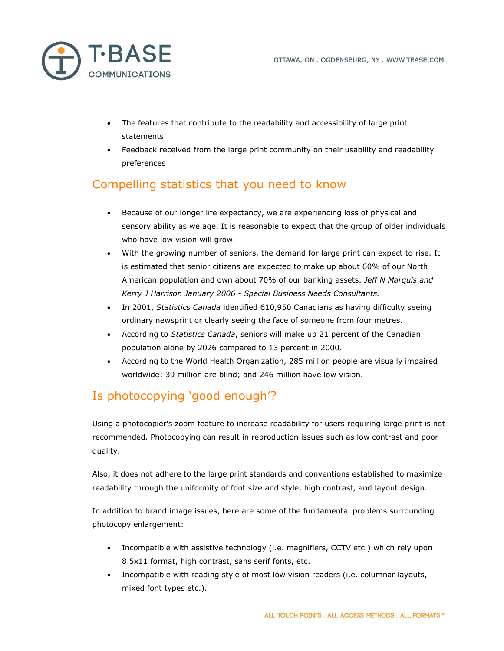

- · The features that contribute to the readability and accessibility of large print statements
- Feedback received from the large print community on their usability and readability preferences

# Compelling statistics that you need to know

- · Because of our longer life expectancy, we are experiencing loss of physical and sensory ability as we age. It is reasonable to expect that the group of older individuals who have low vision will grow.
- With the growing number of seniors, the demand for large print can expect to rise. It is estimated that senior citizens are expected to make up about 60% of our North American population and own about 70% of our banking assets. *Jeff N Marquis and Kerry J Harrison January 2006 - Special Business Needs Consultants.*
- · In 2001, *Statistics Canada* identified 610,950 Canadians as having difficulty seeing ordinary newsprint or clearly seeing the face of someone from four metres.
- · According to *Statistics Canada*, seniors will make up 21 percent of the Canadian population alone by 2026 compared to 13 percent in 2000.
- · According to the World Health Organization, 285 million people are visually impaired worldwide; 39 million are blind; and 246 million have low vision.

# Is photocopying 'good enough'?

Using a photocopier's zoom feature to increase readability for users requiring large print is not recommended. Photocopying can result in reproduction issues such as low contrast and poor quality.

Also, it does not adhere to the large print standards and conventions established to maximize readability through the uniformity of font size and style, high contrast, and layout design.

In addition to brand image issues, here are some of the fundamental problems surrounding photocopy enlargement:

- · Incompatible with assistive technology (i.e. magnifiers, CCTV etc.) which rely upon 8.5x11 format, high contrast, sans serif fonts, etc.
- · Incompatible with reading style of most low vision readers (i.e. columnar layouts, mixed font types etc.).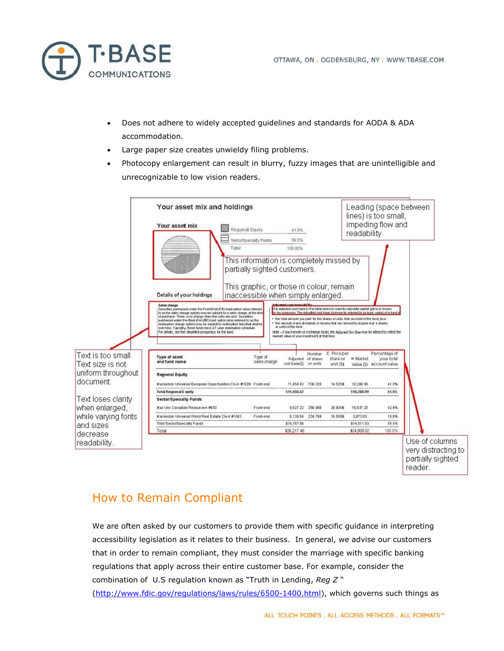

- Does not adhere to widely accepted guidelines and standards for AODA & ADA accommodation.
- Large paper size creates unwieldy filing problems.
- Photocopy enlargement can result in blurry, fuzzy images that are unintelligible and unrecognizable to low vision readers.



### How to Remain Compliant

We are often asked by our customers to provide them with specific guidance in interpreting accessibility legislation as it relates to their business. In general, we advise our customers that in order to remain compliant, they must consider the marriage with specific banking regulations that apply across their entire customer base. For example, consider the combination of U.S regulation known as "Truth in Lending, *Reg Z* "

[\(http://www.fdic.gov/regulations/laws/rules/6500-1400.html\), which](http://www.fdic.gov/regulations/laws/rules/6500-1400.html) governs such things as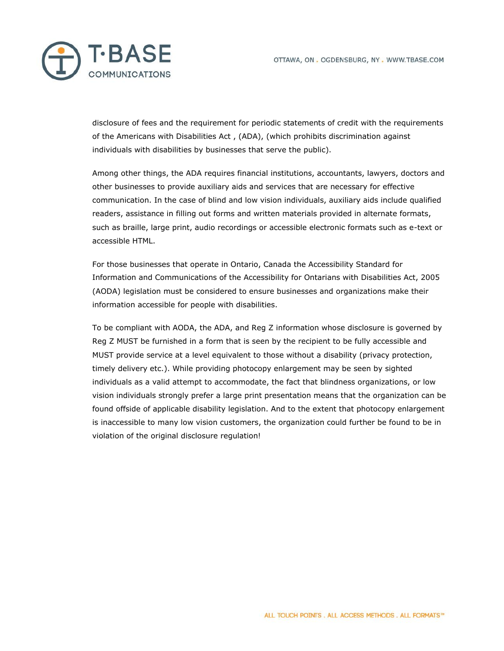

disclosure of fees and the requirement for periodic statements of credit with the requirements of the Americans with Disabilities Act , (ADA), (which prohibits discrimination against individuals with disabilities by businesses that serve the public).

Among other things, the ADA requires financial institutions, accountants, lawyers, doctors and other businesses to provide auxiliary aids and services that are necessary for effective communication. In the case of blind and low vision individuals, auxiliary aids include qualified readers, assistance in filling out forms and written materials provided in alternate formats, such as braille, large print, audio recordings or accessible electronic formats such as e-text or accessible HTML.

For those businesses that operate in Ontario, Canada the Accessibility Standard for Information and Communications of the Accessibility for Ontarians with Disabilities Act, 2005 (AODA) legislation must be considered to ensure businesses and organizations make their information accessible for people with disabilities.

To be compliant with AODA, the ADA, and Reg Z information whose disclosure is governed by Reg Z MUST be furnished in a form that is seen by the recipient to be fully accessible and MUST provide service at a level equivalent to those without a disability (privacy protection, timely delivery etc.). While providing photocopy enlargement may be seen by sighted individuals as a valid attempt to accommodate, the fact that blindness organizations, or low vision individuals strongly prefer a large print presentation means that the organization can be found offside of applicable disability legislation. And to the extent that photocopy enlargement is inaccessible to many low vision customers, the organization could further be found to be in violation of the original disclosure regulation!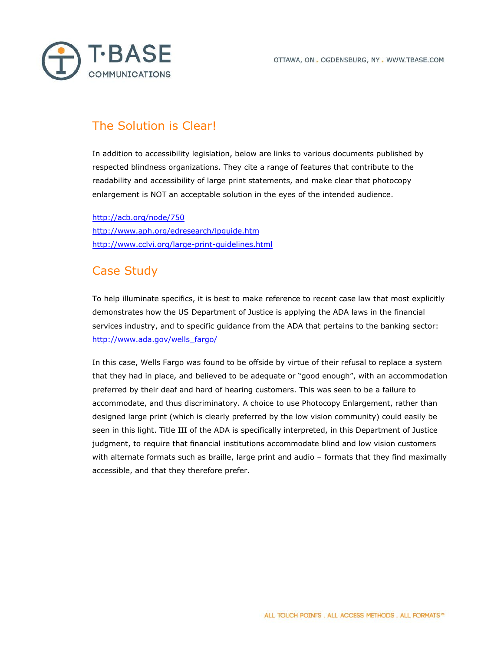



### The Solution is Clear!

In addition to accessibility legislation, below are links to various documents published by respected blindness organizations. They cite a range of features that contribute to the readability and accessibility of large print statements, and make clear that photocopy enlargement is NOT an acceptable solution in the eyes of the intended audience.

<http://acb.org/node/750> <http://www.aph.org/edresearch/lpguide.htm> <http://www.cclvi.org/large-print-guidelines.html>

# Case Study

To help illuminate specifics, it is best to make reference to recent case law that most explicitly demonstrates how the US Department of Justice is applying the ADA laws in the financial services industry, and to specific guidance from the ADA that pertains to the banking sector: [http://www.ada.gov/wells\\_fargo/](http://www.ada.gov/wells_fargo/)

In this case, Wells Fargo was found to be offside by virtue of their refusal to replace a system that they had in place, and believed to be adequate or "good enough", with an accommodation preferred by their deaf and hard of hearing customers. This was seen to be a failure to accommodate, and thus discriminatory. A choice to use Photocopy Enlargement, rather than designed large print (which is clearly preferred by the low vision community) could easily be seen in this light. Title III of the ADA is specifically interpreted, in this Department of Justice judgment, to require that financial institutions accommodate blind and low vision customers with alternate formats such as braille, large print and audio – formats that they find maximally accessible, and that they therefore prefer.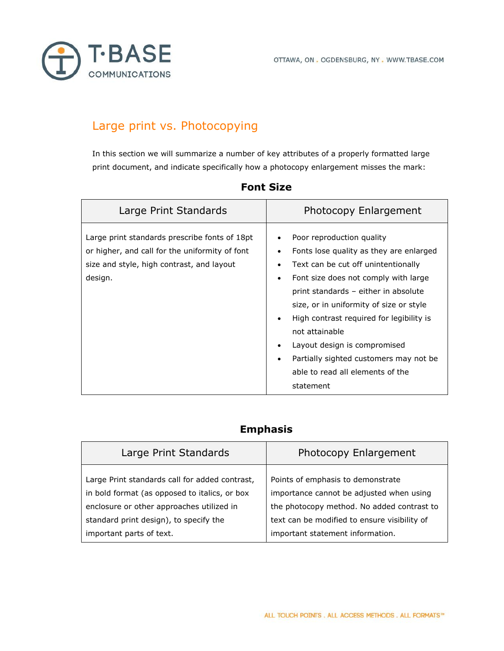

# Large print vs. Photocopying

In this section we will summarize a number of key attributes of a properly formatted large print document, and indicate specifically how a photocopy enlargement misses the mark:

| Large Print Standards                                                                                                                                   | Photocopy Enlargement                                                                                                                                                                                                                                                                                                                                                                                                                                  |
|---------------------------------------------------------------------------------------------------------------------------------------------------------|--------------------------------------------------------------------------------------------------------------------------------------------------------------------------------------------------------------------------------------------------------------------------------------------------------------------------------------------------------------------------------------------------------------------------------------------------------|
| Large print standards prescribe fonts of 18pt<br>or higher, and call for the uniformity of font<br>size and style, high contrast, and layout<br>design. | Poor reproduction quality<br>Fonts lose quality as they are enlarged<br>Text can be cut off unintentionally<br>Font size does not comply with large<br>٠<br>print standards - either in absolute<br>size, or in uniformity of size or style<br>High contrast required for legibility is<br>$\bullet$<br>not attainable<br>Layout design is compromised<br>Partially sighted customers may not be<br>٠<br>able to read all elements of the<br>statement |

#### **Font Size**

#### **Emphasis**

| Large Print Standards                                                                                                                                                                  | Photocopy Enlargement                                                                                                                                                       |
|----------------------------------------------------------------------------------------------------------------------------------------------------------------------------------------|-----------------------------------------------------------------------------------------------------------------------------------------------------------------------------|
| Large Print standards call for added contrast,<br>in bold format (as opposed to italics, or box<br>enclosure or other approaches utilized in<br>standard print design), to specify the | Points of emphasis to demonstrate<br>importance cannot be adjusted when using<br>the photocopy method. No added contrast to<br>text can be modified to ensure visibility of |
| important parts of text.                                                                                                                                                               | important statement information.                                                                                                                                            |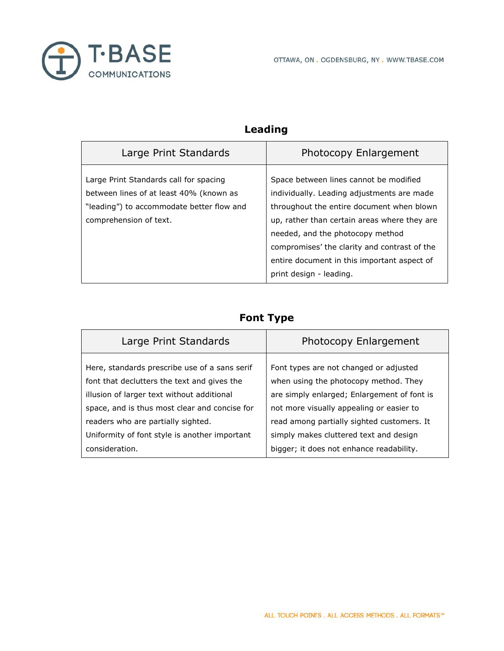

### **Leading**

| Large Print Standards                                                                                                                                    | Photocopy Enlargement                                                                                                                                                                                                                                                                                                                           |
|----------------------------------------------------------------------------------------------------------------------------------------------------------|-------------------------------------------------------------------------------------------------------------------------------------------------------------------------------------------------------------------------------------------------------------------------------------------------------------------------------------------------|
| Large Print Standards call for spacing<br>between lines of at least 40% (known as<br>"leading") to accommodate better flow and<br>comprehension of text. | Space between lines cannot be modified<br>individually. Leading adjustments are made<br>throughout the entire document when blown<br>up, rather than certain areas where they are<br>needed, and the photocopy method<br>compromises' the clarity and contrast of the<br>entire document in this important aspect of<br>print design - leading. |

#### **Font Type**

| Large Print Standards                         | Photocopy Enlargement                       |
|-----------------------------------------------|---------------------------------------------|
| Here, standards prescribe use of a sans serif | Font types are not changed or adjusted      |
| font that declutters the text and gives the   | when using the photocopy method. They       |
| illusion of larger text without additional    | are simply enlarged; Enlargement of font is |
| space, and is thus most clear and concise for | not more visually appealing or easier to    |
| readers who are partially sighted.            | read among partially sighted customers. It  |
| Uniformity of font style is another important | simply makes cluttered text and design      |
| consideration.                                | bigger; it does not enhance readability.    |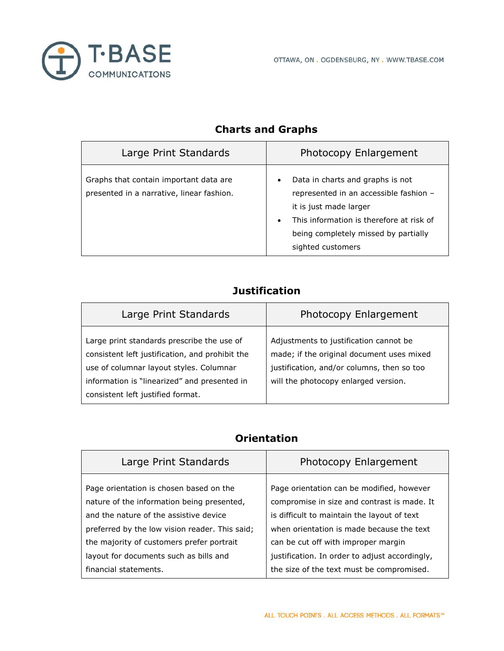

| Large Print Standards                                                                | Photocopy Enlargement                                                                                                                                                                                         |
|--------------------------------------------------------------------------------------|---------------------------------------------------------------------------------------------------------------------------------------------------------------------------------------------------------------|
| Graphs that contain important data are.<br>presented in a narrative, linear fashion. | Data in charts and graphs is not<br>represented in an accessible fashion -<br>it is just made larger<br>This information is therefore at risk of<br>being completely missed by partially<br>sighted customers |

### **Charts and Graphs**

### **Justification**

| Large Print Standards                                                                                                                                                                                                         | Photocopy Enlargement                                                                                                                                                     |
|-------------------------------------------------------------------------------------------------------------------------------------------------------------------------------------------------------------------------------|---------------------------------------------------------------------------------------------------------------------------------------------------------------------------|
| Large print standards prescribe the use of<br>consistent left justification, and prohibit the<br>use of columnar layout styles. Columnar<br>information is "linearized" and presented in<br>consistent left justified format. | Adjustments to justification cannot be<br>made; if the original document uses mixed<br>justification, and/or columns, then so too<br>will the photocopy enlarged version. |

#### **Orientation**

| Large Print Standards                                                                                                                                          | Photocopy Enlargement                                                                                                                                                                |
|----------------------------------------------------------------------------------------------------------------------------------------------------------------|--------------------------------------------------------------------------------------------------------------------------------------------------------------------------------------|
| Page orientation is chosen based on the<br>nature of the information being presented,<br>and the nature of the assistive device                                | Page orientation can be modified, however<br>compromise in size and contrast is made. It<br>is difficult to maintain the layout of text<br>when orientation is made because the text |
| preferred by the low vision reader. This said;<br>the majority of customers prefer portrait<br>layout for documents such as bills and<br>financial statements. | can be cut off with improper margin<br>justification. In order to adjust accordingly,<br>the size of the text must be compromised.                                                   |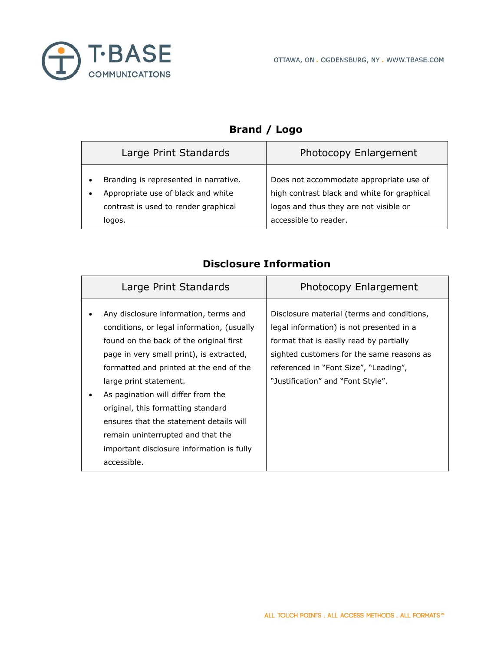

### **Brand / Logo**

|                        | Large Print Standards                                                                                                         | Photocopy Enlargement                                                                                                                                     |
|------------------------|-------------------------------------------------------------------------------------------------------------------------------|-----------------------------------------------------------------------------------------------------------------------------------------------------------|
| $\bullet$<br>$\bullet$ | Branding is represented in narrative.<br>Appropriate use of black and white<br>contrast is used to render graphical<br>logos. | Does not accommodate appropriate use of<br>high contrast black and white for graphical<br>logos and thus they are not visible or<br>accessible to reader. |

| Large Print Standards                                                                                                                                                                                                                                                                                                                                                                                                                                                   | Photocopy Enlargement                                                                                                                                                                                                                                        |
|-------------------------------------------------------------------------------------------------------------------------------------------------------------------------------------------------------------------------------------------------------------------------------------------------------------------------------------------------------------------------------------------------------------------------------------------------------------------------|--------------------------------------------------------------------------------------------------------------------------------------------------------------------------------------------------------------------------------------------------------------|
| Any disclosure information, terms and<br>conditions, or legal information, (usually<br>found on the back of the original first<br>page in very small print), is extracted,<br>formatted and printed at the end of the<br>large print statement.<br>As pagination will differ from the<br>original, this formatting standard<br>ensures that the statement details will<br>remain uninterrupted and that the<br>important disclosure information is fully<br>accessible. | Disclosure material (terms and conditions,<br>legal information) is not presented in a<br>format that is easily read by partially<br>sighted customers for the same reasons as<br>referenced in "Font Size", "Leading",<br>"Justification" and "Font Style". |

#### **Disclosure Information**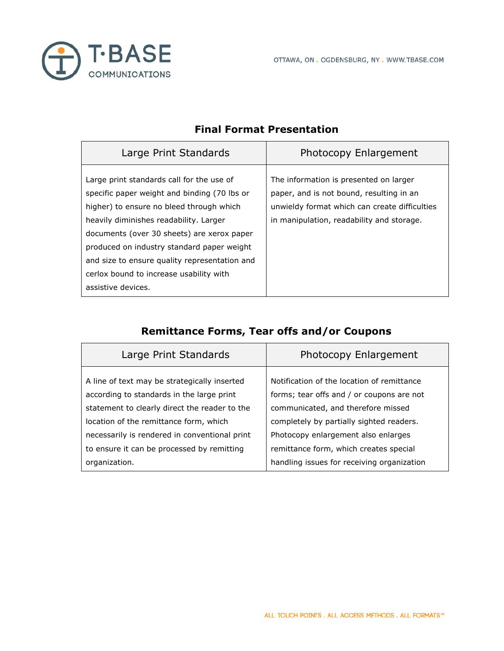

| Large Print Standards                                                                                                                                                                                                                                                                                                                                                                         | Photocopy Enlargement                                                                                                                                                            |
|-----------------------------------------------------------------------------------------------------------------------------------------------------------------------------------------------------------------------------------------------------------------------------------------------------------------------------------------------------------------------------------------------|----------------------------------------------------------------------------------------------------------------------------------------------------------------------------------|
| Large print standards call for the use of<br>specific paper weight and binding (70 lbs or<br>higher) to ensure no bleed through which<br>heavily diminishes readability. Larger<br>documents (over 30 sheets) are xerox paper<br>produced on industry standard paper weight<br>and size to ensure quality representation and<br>cerlox bound to increase usability with<br>assistive devices. | The information is presented on larger<br>paper, and is not bound, resulting in an<br>unwieldy format which can create difficulties<br>in manipulation, readability and storage. |

#### **Final Format Presentation**

### **Remittance Forms, Tear offs and/or Coupons**

| Large Print Standards                         | Photocopy Enlargement                      |
|-----------------------------------------------|--------------------------------------------|
| A line of text may be strategically inserted  | Notification of the location of remittance |
| according to standards in the large print     | forms; tear offs and / or coupons are not  |
| statement to clearly direct the reader to the | communicated, and therefore missed         |
| location of the remittance form, which        | completely by partially sighted readers.   |
| necessarily is rendered in conventional print | Photocopy enlargement also enlarges        |
| to ensure it can be processed by remitting    | remittance form, which creates special     |
| organization.                                 | handling issues for receiving organization |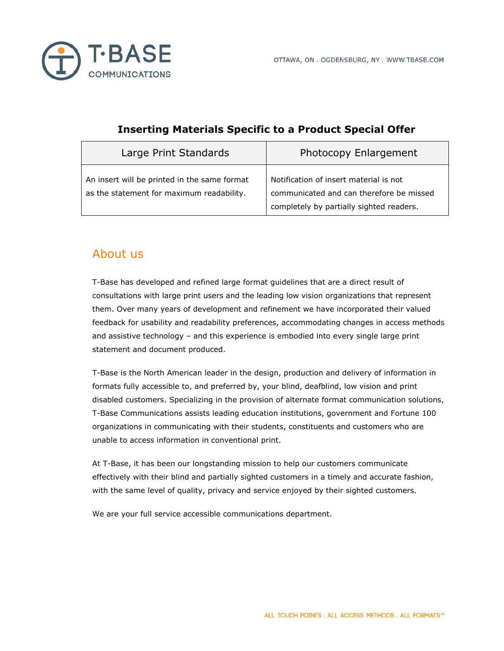

| Large Print Standards                                                                     | Photocopy Enlargement                                                                                                          |
|-------------------------------------------------------------------------------------------|--------------------------------------------------------------------------------------------------------------------------------|
| An insert will be printed in the same format<br>as the statement for maximum readability. | Notification of insert material is not<br>communicated and can therefore be missed<br>completely by partially sighted readers. |

#### **Inserting Materials Specific to a Product Special Offer**

### About us

T-Base has developed and refined large format guidelines that are a direct result of consultations with large print users and the leading low vision organizations that represent them. Over many years of development and refinement we have incorporated their valued feedback for usability and readability preferences, accommodating changes in access methods and assistive technology – and this experience is embodied into every single large print statement and document produced.

T-Base is the North American leader in the design, production and delivery of information in formats fully accessible to, and preferred by, your blind, deafblind, low vision and print disabled customers. Specializing in the provision of alternate format communication solutions, T-Base Communications assists leading education institutions, government and Fortune 100 organizations in communicating with their students, constituents and customers who are unable to access information in conventional print.

At T-Base, it has been our longstanding mission to help our customers communicate effectively with their blind and partially sighted customers in a timely and accurate fashion, with the same level of quality, privacy and service enjoyed by their sighted customers.

We are your full service accessible communications department.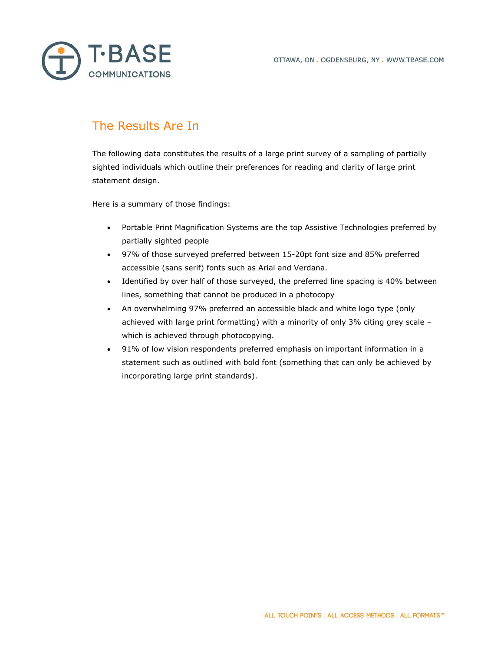

## The Results Are In

The following data constitutes the results of a large print survey of a sampling of partially sighted individuals which outline their preferences for reading and clarity of large print statement design.

Here is a summary of those findings:

- · Portable Print Magnification Systems are the top Assistive Technologies preferred by partially sighted people
- · 97% of those surveyed preferred between 15-20pt font size and 85% preferred accessible (sans serif) fonts such as Arial and Verdana.
- · Identified by over half of those surveyed, the preferred line spacing is 40% between lines, something that cannot be produced in a photocopy
- · An overwhelming 97% preferred an accessible black and white logo type (only achieved with large print formatting) with a minority of only 3% citing grey scale – which is achieved through photocopying.
- · 91% of low vision respondents preferred emphasis on important information in a statement such as outlined with bold font (something that can only be achieved by incorporating large print standards).